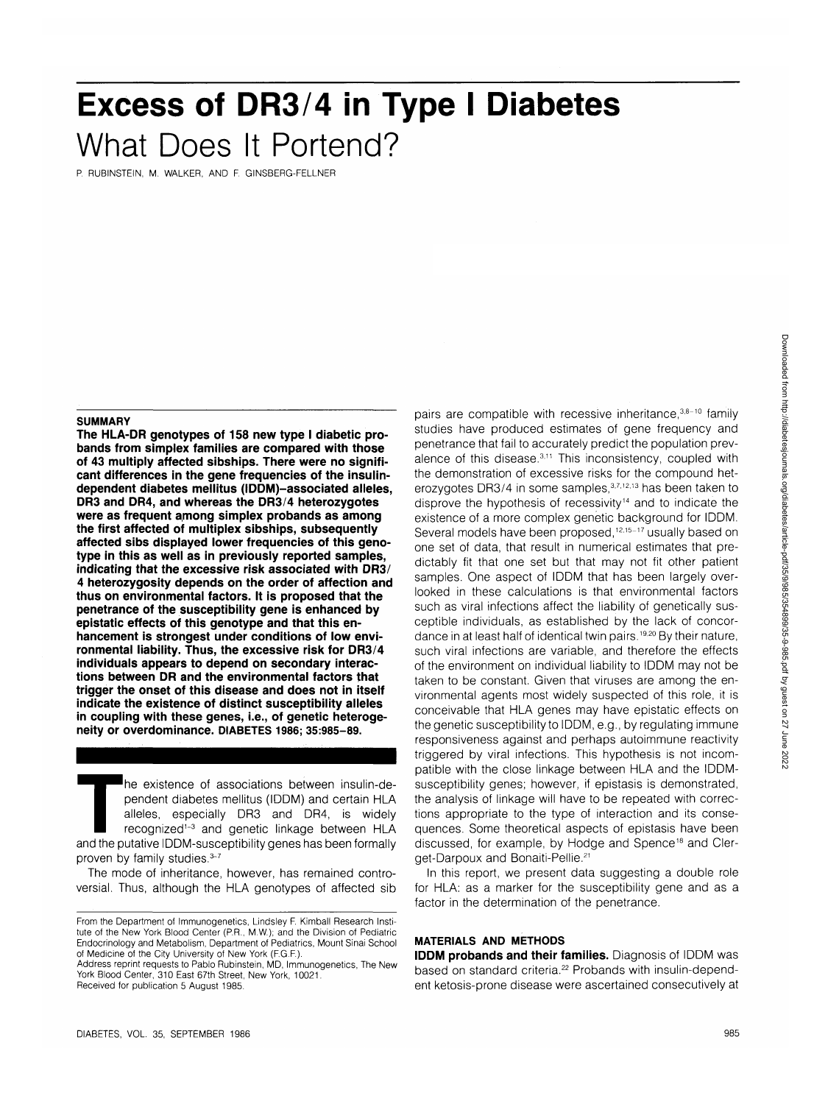# **Excess of DR3/4 in Type I Diabetes** What Does It Portend?

P. RUBINSTEIN, M. WALKER, AND F. GINSBERG-FELLNER

## **SUMMARY**

**The HLA-DR genotypes of 158 new type I diabetic probands from simplex families are compared with those of 43 multiply affected sibships. There were no significant differences in the gene frequencies of the insulindependent diabetes mellitus (IDDM)-associated alleles, DR3 and DR4, and whereas the DR3/4 heterozygotes were as frequent among simplex probands as among the first affected of multiplex sibships, subsequently affected sibs displayed lower frequencies of this genotype in this as well as in previously reported samples, indicating that the excessive risk associated with DR3/ 4 heterozygosity depends on the order of affection and thus on environmental factors. It is proposed that the penetrance of the susceptibility gene is enhanced by epistatic effects of this genotype and that this enhancement is strongest under conditions of low environmental liability. Thus, the excessive risk for DR3/4 individuals appears to depend on secondary interactions between DR and the environmental factors that trigger the onset of this disease and does not in itself indicate the existence of distinct susceptibility alleles in coupling with these genes, i.e., of genetic heterogeneity or overdominance. DIABETES 1986; 35:985-89.**

The existence of associations between insulin-de-<br>pendent diabetes mellitus (IDDM) and certain HLA<br>alleles, especially DR3 and DR4, is widely<br>recognized<sup>1-3</sup> and genetic linkage between HLA<br>and the putative IDDM-susceptibi pendent diabetes mellitus (IDDM) and certain HLA alleles, especially DR3 and DR4, is widely recognized<sup>1-3</sup> and genetic linkage between HLA proven by family studies.<sup>3-7</sup>

The mode of inheritance, however, has remained controversial. Thus, although the HLA genotypes of affected sib

pairs are compatible with recessive inheritance, 3,8-10 family studies have produced estimates of gene frequency and penetrance that fail to accurately predict the population prevalence of this disease.<sup>3,11</sup> This inconsistency, coupled with the demonstration of excessive risks for the compound heterozygotes DR3/4 in some samples,<sup>3,7,12,13</sup> has been taken to disprove the hypothesis of recessivity<sup>14</sup> and to indicate the existence of a more complex genetic background for IDDM. Several models have been proposed,<sup>12,15-17</sup> usually based on one set of data, that result in numerical estimates that predictably fit that one set but that may not fit other patient samples. One aspect of IDDM that has been largely overlooked in these calculations is that environmental factors such as viral infections affect the liability of genetically susceptible individuals, as established by the lack of concordance in at least half of identical twin pairs.<sup>19,20</sup> By their nature, such viral infections are variable, and therefore the effects of the environment on individual liability to IDDM may not be taken to be constant. Given that viruses are among the environmental agents most widely suspected of this role, it is conceivable that HLA genes may have epistatic effects on the genetic susceptibility to IDDM, e.g., by regulating immune responsiveness against and perhaps autoimmune reactivity triggered by viral infections. This hypothesis is not incompatible with the close linkage between HLA and the IDDMsusceptibility genes; however, if epistasis is demonstrated, the analysis of linkage will have to be repeated with corrections appropriate to the type of interaction and its consequences. Some theoretical aspects of epistasis have been discussed, for example, by Hodge and Spence<sup>18</sup> and Clerget-Darpoux and Bonaiti-Pellie.21

In this report, we present data suggesting a double role for HLA: as a marker for the susceptibility gene and as a factor in the determination of the penetrance.

## **MATERIALS AND METHODS**

**IDDM probands and their families.** Diagnosis of IDDM was based on standard criteria.<sup>22</sup> Probands with insulin-dependent ketosis-prone disease were ascertained consecutively at

From the Department of Immunogenetics, Lindsley F. Kimball Research Institute of the New York Blood Center (P.R., M.W.); and the Division of Pediatric Endocrinology and Metabolism, Department of Pediatrics, Mount Sinai School of Medicine of the City University of New York (F.G.F.).

Address reprint requests to Pablo Rubinstein, MD, Immunogenetics, The New York Blood Center, 310 East 67th Street, New York, 10021. Received for publication 5 August 1985.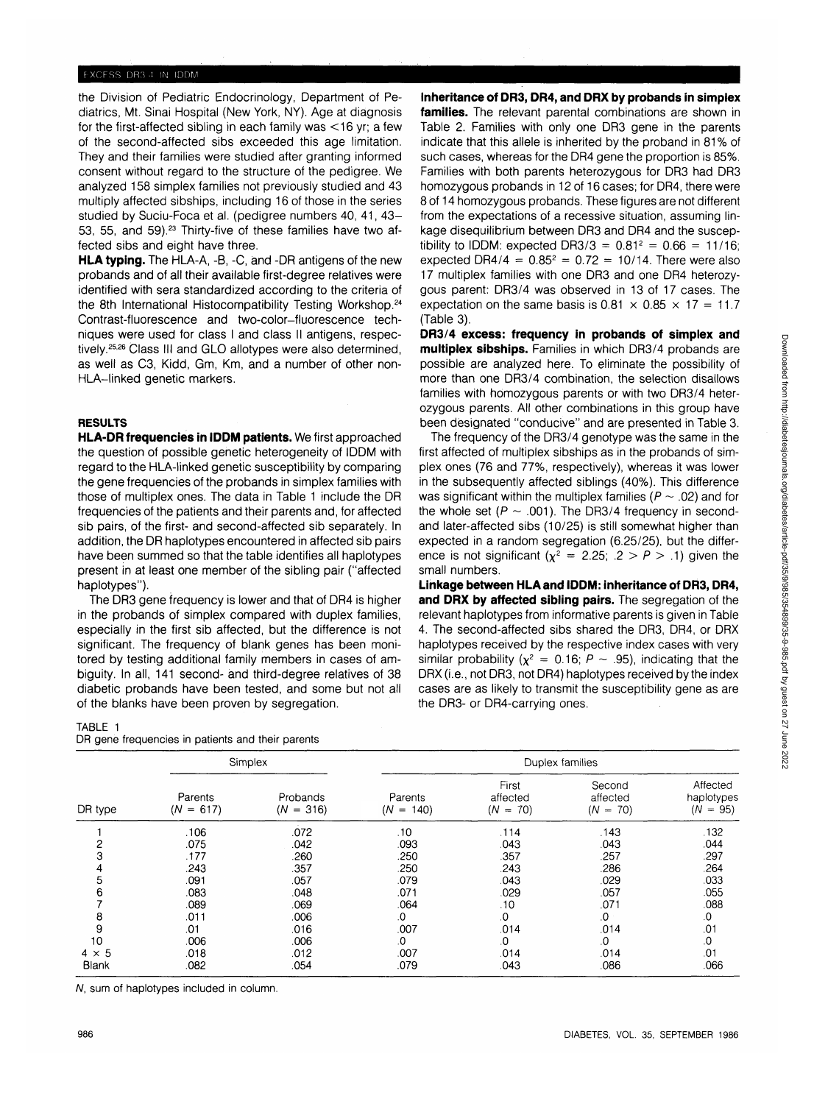the Division of Pediatric Endocrinology, Department of Pediatrics, Mt. Sinai Hospital (New York, NY). Age at diagnosis for the first-affected sibling in each family was <16 yr; a few of the second-affected sibs exceeded this age limitation. They and their families were studied after granting informed consent without regard to the structure of the pedigree. We analyzed 158 simplex families not previously studied and 43 multiply affected sibships, including 16 of those in the series studied by Suciu-Foca et al. (pedigree numbers 40, 41, 43- 53, 55, and 59).<sup>23</sup> Thirty-five of these families have two affected sibs and eight have three.

**HLA typing.** The HLA-A, -B, -C, and -DR antigens of the new probands and of all their available first-degree relatives were identified with sera standardized according to the criteria of the 8th International Histocompatibility Testing Workshop.24 Contrast-fluorescence and two-color-fluorescence techniques were used for class I and class II antigens, respectively.<sup>25,26</sup> Class III and GLO allotypes were also determined, as well as C3, Kidd, Gm, Km, and a number of other non-HLA-linked genetic markers.

## RESULTS

TABLE 1

**HLA-DR frequencies in IDDM patients.** We first approached the question of possible genetic heterogeneity of IDDM with regard to the HLA-linked genetic susceptibility by comparing the gene frequencies of the probands in simplex families with those of multiplex ones. The data in Table 1 include the DR frequencies of the patients and their parents and, for affected sib pairs, of the first- and second-affected sib separately. In addition, the DR haplotypes encountered in affected sib pairs have been summed so that the table identifies all haplotypes present in at least one member of the sibling pair ("affected haplotypes").

The DR3 gene frequency is lower and that of DR4 is higher in the probands of simplex compared with duplex families, especially in the first sib affected, but the difference is not significant. The frequency of blank genes has been monitored by testing additional family members in cases of ambiguity. In all, 141 second- and third-degree relatives of 38 diabetic probands have been tested, and some but not all of the blanks have been proven by segregation.

DR gene frequencies in patients and their parents

**Inheritance of DR3, DR4, and DRX by probands in simplex families.** The relevant parental combinations are shown in Table 2. Families with only one DR3 gene in the parents indicate that this allele is inherited by the proband in 81% of such cases, whereas for the DR4 gene the proportion is 85%. Families with both parents heterozygous for DR3 had DR3 homozygous probands in 12 of 16 cases; for DR4, there were 8 of 14 homozygous probands. These figures are not different from the expectations of a recessive situation, assuming linkage disequilibrium between DR3 and DR4 and the susceptibility to IDDM: expected DR3/3 =  $0.81^2 = 0.66 = 11/16$ ; expected DR4/4 =  $0.85^2 = 0.72 = 10/14$ . There were also 17 multiplex families with one DR3 and one DR4 heterozygous parent: DR3/4 was observed in 13 of 17 cases. The expectation on the same basis is  $0.81 \times 0.85 \times 17 = 11.7$ (Table 3).

**DR3/4 excess: frequency in probands of simplex and multiplex sibships.** Families in which DR3/4 probands are possible are analyzed here. To eliminate the possibility of more than one DR3/4 combination, the selection disallows families with homozygous parents or with two DR3/4 heterozygous parents. All other combinations in this group have been designated "conducive" and are presented in Table 3.

The frequency of the DR3/4 genotype was the same in the first affected of multiplex sibships as in the probands of simplex ones (76 and 77%, respectively), whereas it was lower in the subsequently affected siblings (40%). This difference was significant within the multiplex families ( $P \sim .02$ ) and for the whole set ( $P \sim .001$ ). The DR3/4 frequency in secondand later-affected sibs (10/25) is still somewhat higher than expected in a random segregation (6.25/25), but the difference is not significant ( $\chi^2 = 2.25$ ;  $.2 > P > .1$ ) given the small numbers.

**Linkage between HLA and IDDM: inheritance of DR3, DR4, and DRX by affected sibling pairs.** The segregation of the relevant haplotypes from informative parents is given in Table 4. The second-affected sibs shared the DR3, DR4, or DRX haplotypes received by the respective index cases with very similar probability ( $\chi^2 = 0.16$ ; P  $\sim$  .95), indicating that the DRX (i.e., not DR3, not DR4) haplotypes received by the index cases are as likely to transmit the susceptibility gene as are the DR3- or DR4-carrying ones.

| DR type      | Simplex                |                         | Duplex families        |                                 |                                  |                                      |
|--------------|------------------------|-------------------------|------------------------|---------------------------------|----------------------------------|--------------------------------------|
|              | Parents<br>$(N = 617)$ | Probands<br>$(N = 316)$ | Parents<br>$(N = 140)$ | First<br>affected<br>$(N = 70)$ | Second<br>affected<br>$(N = 70)$ | Affected<br>haplotypes<br>$(N = 95)$ |
|              | .106                   | .072                    | .10                    | .114                            | .143                             | .132                                 |
| 2            | .075                   | .042                    | .093                   | .043                            | .043                             | .044                                 |
| 3            | .177                   | .260                    | .250                   | .357                            | .257                             | .297                                 |
| 4            | .243                   | .357                    | .250                   | .243                            | .286                             | 264                                  |
| 5            | .091                   | .057                    | .079                   | .043                            | .029                             | .033                                 |
| 6            | .083                   | .048                    | .071                   | .029                            | .057                             | .055                                 |
|              | .089                   | .069                    | .064                   | .10                             | .071                             | .088                                 |
| 8            | .011                   | .006                    | .0                     | .0                              | .0                               | .0                                   |
| 9            | .01                    | .016                    | .007                   | .014                            | .014                             | .01                                  |
| 10           | .006                   | .006                    | .0                     | .0                              | .0                               | .0                                   |
| $4 \times 5$ | .018                   | .012                    | .007                   | .014                            | .014                             | .01                                  |
| Blank        | .082                   | .054                    | .079                   | .043                            | .086                             | .066                                 |

N, sum of haplotypes included in column.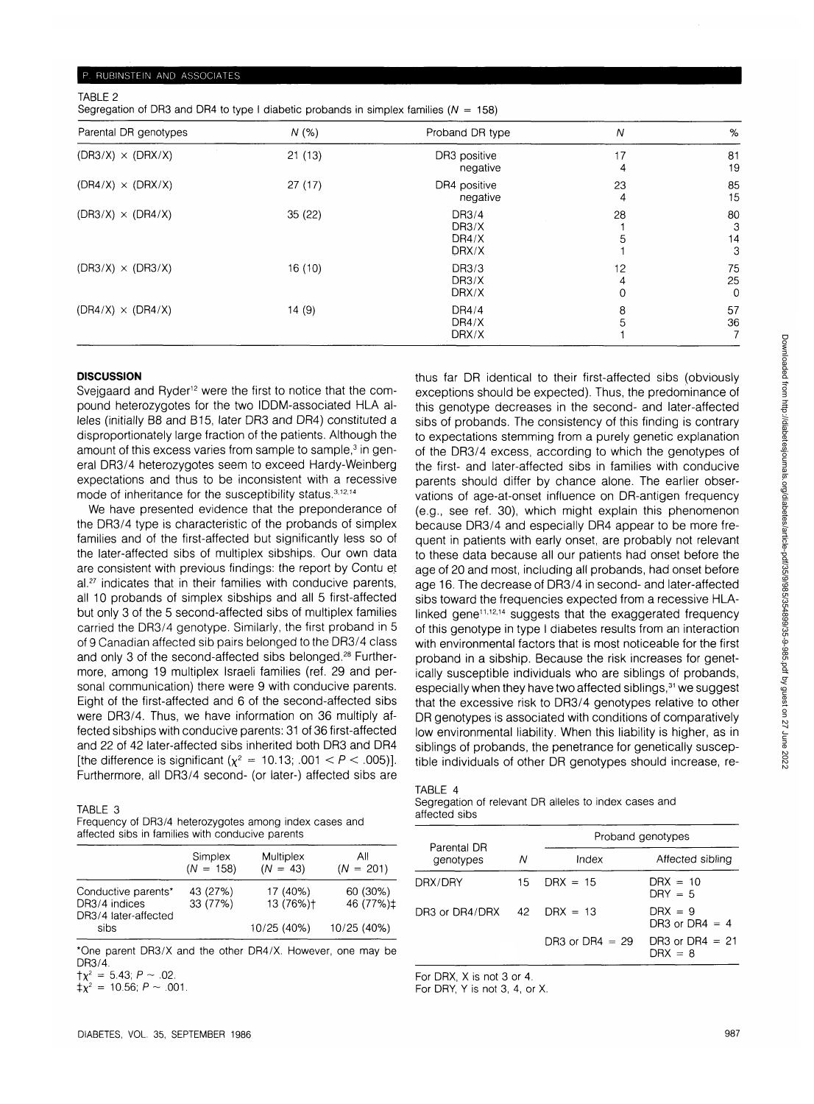Segregation of DR3 and DR4 to type I diabetic probands in simplex families ( $N = 158$ )

| Parental DR genotypes    | N(%     | Proband DR type                  | N            | %                       |
|--------------------------|---------|----------------------------------|--------------|-------------------------|
| $(DR3/X) \times (DRX/X)$ | 21(13)  | DR3 positive<br>negative         | 17<br>4      | 81<br>19                |
| $(DR4/X) \times (DRX/X)$ | 27(17)  | DR4 positive<br>negative         | 23<br>4      | 85<br>15                |
| $(DR3/X) \times (DR4/X)$ | 35 (22) | DR3/4<br>DR3/X<br>DR4/X<br>DRX/X | 28<br>5      | 80<br>3<br>14<br>3      |
| $(DR3/X) \times (DR3/X)$ | 16 (10) | DR3/3<br>DR3/X<br>DRX/X          | 12<br>4<br>0 | 75<br>25<br>$\mathbf 0$ |
| $(DR4/X) \times (DR4/X)$ | 14(9)   | DR4/4<br>DR4/X<br>DRX/X          | 8<br>5       | 57<br>36<br>7           |

## **DISCUSSION**

Svejgaard and Ryder<sup>12</sup> were the first to notice that the compound heterozygotes for the two IDDM-associated HLA alleles (initially B8 and B15, later DR3 and DR4) constituted a disproportionately large fraction of the patients. Although the amount of this excess varies from sample to sample,<sup>3</sup> in general DR3/4 heterozygotes seem to exceed Hardy-Weinberg expectations and thus to be inconsistent with a recessive mode of inheritance for the susceptibility status.<sup>3,12,14</sup>

We have presented evidence that the preponderance of the DR3/4 type is characteristic of the probands of simplex families and of the first-affected but significantly less so of the later-affected sibs of multiplex sibships. Our own data are consistent with previous findings: the report by Contu et al.<sup>27</sup> indicates that in their families with conducive parents, all 10 probands of simplex sibships and all 5 first-affected but only 3 of the 5 second-affected sibs of multiplex families carried the DR3/4 genotype. Similarly, the first proband in 5 of 9 Canadian affected sib pairs belonged to the DR3/4 class and only 3 of the second-affected sibs belonged.<sup>28</sup> Furthermore, among 19 multiplex Israeli families (ref. 29 and personal communication) there were 9 with conducive parents. Eight of the first-affected and 6 of the second-affected sibs were DR3/4. Thus, we have information on 36 multiply affected sibships with conducive parents: 31 of 36 first-affected and 22 of 42 later-affected sibs inherited both DR3 and DR4 [the difference is significant  $(\chi^2 = 10.13; .001 < P < .005)$ ]. Furthermore, all DR3/4 second- (or later-) affected sibs are

TABLE 3

Frequency of DR3/4 heterozygotes among index cases and affected sibs in families with conducive parents

|                              | Simplex     | Multiplex   | All            |
|------------------------------|-------------|-------------|----------------|
|                              | $(N = 158)$ | $(N = 43)$  | $(N = 201)$    |
| Conductive parents*          | 43 (27%)    | 17 (40%)    | 60 (30%)       |
| DR3/4 indices                | 33 (77%)    | 13 (76%)+   | 46 (77%) $\pm$ |
| DR3/4 later-affected<br>sibs |             | 10/25 (40%) | 10/25 (40%)    |

"One parent DR3/X and the other DR4/X. However, one may be DR3/4.

 $\tau \chi^2 = 5.43; P \sim .02.$ 

 $\ddagger \chi^2 = 10.56; P \sim .001.$ 

thus far DR identical to their first-affected sibs (obviously exceptions should be expected). Thus, the predominance of this genotype decreases in the second- and later-affected sibs of probands. The consistency of this finding is contrary to expectations stemming from a purely genetic explanation of the DR3/4 excess, according to which the genotypes of the first- and later-affected sibs in families with conducive parents should differ by chance alone. The earlier observations of age-at-onset influence on DR-antigen frequency (e.g., see ref. 30), which might explain this phenomenon because DR3/4 and especially DR4 appear to be more frequent in patients with early onset, are probably not relevant to these data because all our patients had onset before the age of 20 and most, including all probands, had onset before age 16. The decrease of DR3/4 in second- and later-affected sibs toward the frequencies expected from a recessive HLAlinked gene<sup>11,12,14</sup> suggests that the exaggerated frequency of this genotype in type I diabetes results from an interaction with environmental factors that is most noticeable for the first proband in a sibship. Because the risk increases for genetically susceptible individuals who are siblings of probands, especially when they have two affected siblings,<sup>31</sup> we suggest that the excessive risk to DR3/4 genotypes relative to other DR genotypes is associated with conditions of comparatively low environmental liability. When this liability is higher, as in siblings of probands, the penetrance for genetically susceptible individuals of other DR genotypes should increase, re-

## TABLE 4

Segregation of relevant DR alleles to index cases and affected sibs

|                              |     | Proband genotypes |                                |  |
|------------------------------|-----|-------------------|--------------------------------|--|
| Parental DR<br>genotypes     | Ν   | Index             | Affected sibling               |  |
| DRX/DRY                      | 15. | $DRX = 15$        | $DRX = 10$<br>$DRY = 5$        |  |
| DR3 or DR4/DRX $42$ DRX = 13 |     |                   | $DRX = 9$<br>DR3 or DR4 $=$ 4  |  |
|                              |     | DR3 or DR4 = 29   | DR3 or DR4 $=$ 21<br>$DRX = 8$ |  |

For DRX, X is not 3 or 4.

For DRY, Y is not 3, 4, or X.

TABLE 2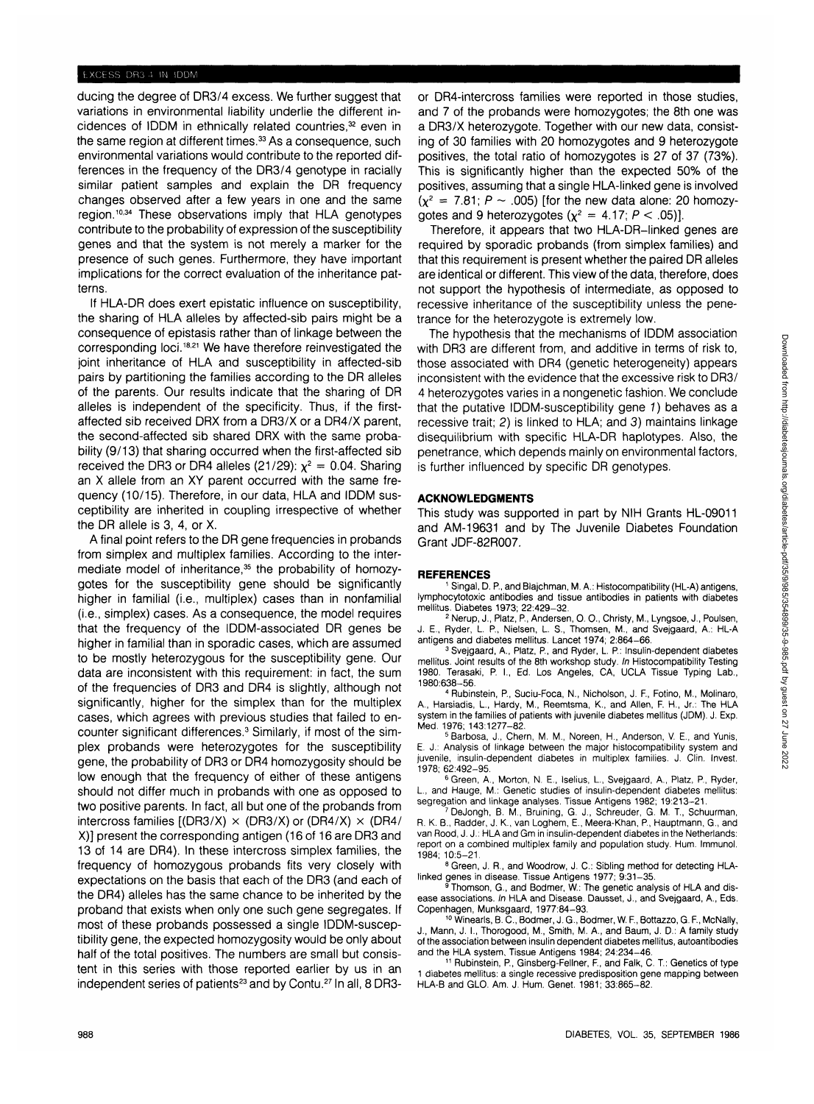ducing the degree of DR3/4 excess. We further suggest that variations in environmental liability underlie the different incidences of IDDM in ethnically related countries,<sup>32</sup> even in the same region at different times.<sup>33</sup> As a consequence, such environmental variations would contribute to the reported differences in the frequency of the DR3/4 genotype in racially similar patient samples and explain the DR frequency changes observed after a few years in one and the same region.<sup>10,34</sup> These observations imply that HLA genotypes contribute to the probability of expression of the susceptibility genes and that the system is not merely a marker for the presence of such genes. Furthermore, they have important implications for the correct evaluation of the inheritance patterns.

If HLA-DR does exert epistatic influence on susceptibility, the sharing of HLA alleles by affected-sib pairs might be a consequence of epistasis rather than of linkage between the corresponding loci.<sup>18,21</sup> We have therefore reinvestigated the joint inheritance of HLA and susceptibility in affected-sib pairs by partitioning the families according to the DR alleles of the parents. Our results indicate that the sharing of DR alleles is independent of the specificity. Thus, if the firstaffected sib received DRX from a DR3/X or a DR4/X parent, the second-affected sib shared DRX with the same probability (9/13) that sharing occurred when the first-affected sib received the DR3 or DR4 alleles (21/29):  $\chi^2 = 0.04$ . Sharing an X allele from an XY parent occurred with the same frequency (10/15). Therefore, in our data, HLA and IDDM susceptibility are inherited in coupling irrespective of whether the DR allele is 3, 4, or X.

A final point refers to the DR gene frequencies in probands from simplex and multiplex families. According to the intermediate model of inheritance,<sup>35</sup> the probability of homozygotes for the susceptibility gene should be significantly higher in familial (i.e., multiplex) cases than in nonfamilial (i.e., simplex) cases. As a consequence, the model requires that the frequency of the IDDM-associated DR genes be higher in familial than in sporadic cases, which are assumed to be mostly heterozygous for the susceptibility gene. Our data are inconsistent with this requirement: in fact, the sum of the frequencies of DR3 and DR4 is slightly, although not significantly, higher for the simplex than for the multiplex cases, which agrees with previous studies that failed to encounter significant differences.<sup>3</sup> Similarly, if most of the simplex probands were heterozygotes for the susceptibility gene, the probability of DR3 or DR4 homozygosity should be low enough that the frequency of either of these antigens should not differ much in probands with one as opposed to two positive parents. In fact, all but one of the probands from intercross families  $[(DR3/X) \times (DR3/X)$  or  $(DR4/X) \times (DR4/K)$ X)] present the corresponding antigen (16 of 16 are DR3 and 13 of 14 are DR4). In these intercross simplex families, the frequency of homozygous probands fits very closely with expectations on the basis that each of the DR3 (and each of the DR4) alleles has the same chance to be inherited by the proband that exists when only one such gene segregates. If most of these probands possessed a single IDDM-susceptibility gene, the expected homozygosity would be only about half of the total positives. The numbers are small but consistent in this series with those reported earlier by us in an independent series of patients<sup>23</sup> and by Contu.<sup>27</sup> In all, 8 DR3or DR4-intercross families were reported in those studies, and 7 of the probands were homozygotes; the 8th one was a DR3/X heterozygote. Together with our new data, consisting of 30 families with 20 homozygotes and 9 heterozygote positives, the total ratio of homozygotes is 27 of 37 (73%). This is significantly higher than the expected 50% of the positives, assuming that a single HLA-linked gene is involved  $(\chi^2 = 7.81; P \sim .005)$  [for the new data alone: 20 homozygotes and 9 heterozygotes ( $\chi^2 = 4.17$ ;  $P < .05$ )].

Therefore, it appears that two HLA-DR-linked genes are required by sporadic probands (from simplex families) and that this requirement is present whether the paired DR alleles are identical or different. This view of the data, therefore, does not support the hypothesis of intermediate, as opposed to recessive inheritance of the susceptibility unless the penetrance for the heterozygote is extremely low.

The hypothesis that the mechanisms of IDDM association with DR3 are different from, and additive in terms of risk to, those associated with DR4 (genetic heterogeneity) appears inconsistent with the evidence that the excessive risk to DR3/ 4 heterozygotes varies in a nongenetic fashion. We conclude that the putative IDDM-susceptibility gene 1) behaves as a recessive trait; 2) is linked to HLA; and 3) maintains linkage disequilibrium with specific HLA-DR haplotypes. Also, the penetrance, which depends mainly on environmental factors, is further influenced by specific DR genotypes.

## **ACKNOWLEDGMENTS**

This study was supported in part by NIH Grants HL-09011 and AM-19631 and by The Juvenile Diabetes Foundation Grant JDF-82R007.

#### **REFERENCES**

 Singal, D. P., and Blajchman, M. A.: Histocompatibility (HL-A) antigens, lymphocytotoxic antibodies and tissue antibodies in patients with diabetes mellitus. Diabetes 1973; 22:429-32. <sup>2</sup>

 Nerup, J., Platz, P., Andersen, O. O., Christy, M., Lyngsoe, J., Poulsen, J. E., Ryder, L. P., Nielsen, L. S., Thomsen, M., and Svejgaard, A.: HL-A antigens and diabetes mellitus. Lancet 1974; 2:864-66

<sup>3</sup> Svejgaard, A., Platz, P., and Ryder, L. P.: Insulin-dependent diabetes mellitus. Joint results of the 8th workshop study. In Histocompatibility Testing 1980. Terasaki, P. I., Ed. Los Angeles, CA, UCLA Tissue Typing Lab., 1980:638-56

 Rubinstein, P., Suciu-Foca, N., Nicholson, J. R, Fotino, M., Molinaro, A., Harsiadis, L, Hardy, M., Reemtsma, K., and Allen, F. H., Jr.: The HLA system in the families of patients with juvenile diabetes mellitus (JDM). J. Exp. Med. 1976; 143:1277-82.

Barbosa, J., Chern, M. M., Noreen, H., Anderson, V. E., and Yunis, E. J.: Analysis of linkage between the major histocompatibility system and juvenile, insulin-dependent diabetes in multiplex families. J. Clin. Invest. 1978; 62:492-95.

<sup>6</sup> Green, A., Morton, N. E., Iselius, L., Svejgaard, A., Platz, P., Ryder, L, and Hauge, M.: Genetic studies of insulin-dependent diabetes mellitus: segregation and linkage analyses. Tissue Antigens 1982; 19:213-21.

 DeJongh, B. M., Bruining, G. J., Schreuder, G. M. T., Schuurman, R. K. B., Radder, J. K., van Loghem, E., Meera-Khan, P., Hauptmann, G., and van Rood, J. J.: HLA and Gm in insulin-dependent diabetes in the Netherlands: report on a combined multiplex family and population study. Hum. Immunol. 1984; 10:5-21. <sup>8</sup>

<sup>8</sup> Green, J. R., and Woodrow, J. C.: Sibling method for detecting HLAlinked genes in disease. Tissue Antigens 1977; 9:31-35.<br>9 Themsen Congributions: W. The senational

 Thomson, G., and Bodmer, W.: The genetic analysis of HLA and disease associations. In HLA and Disease. Dausset, J., and Svejgaard, A., Eds. Copenhagen, Munksgaard, 1977:84-93.

 Winearls, B. C, Bodmer, J. G., Bodmer, W. R, Bottazzo, G. F, McNally, J., Mann, J. I., Thorogood, M., Smith, M. A., and Baum, J. D.: A family study of the association between insulin dependent diabetes mellitus, autoantibodies and the HLA system. Tissue Antigens 1984; 24:234-46.

<sup>11</sup> Rubinstein, P., Ginsberg-Fellner, F., and Falk, C. T.: Genetics of type 1 diabetes mellitus: a single recessive predisposition gene mapping between HLA-B and GLO. Am. J. Hum. Genet. 1981; 33:865-82.